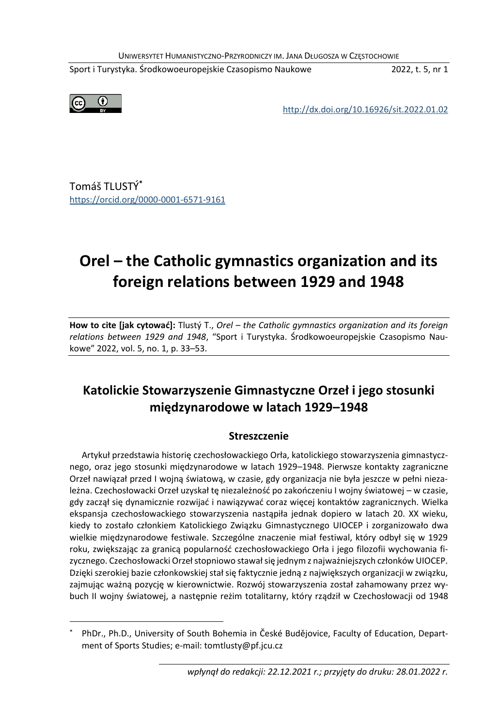UNIWERSYTET HUMANISTYCZNO-PRZYRODNICZY IM. JANA DŁUGOSZA W CZĘSTOCHOWIE

Sport i Turystyka. Środkowoeuropejskie Czasopismo Naukowe 2022, t. 5, nr 1



<http://dx.doi.org/10.16926/sit.2022.01.02>

Tomáš TLUSTÝ**\*** <https://orcid.org/0000-0001-6571-9161>

# **Orel – the Catholic gymnastics organization and its foreign relations between 1929 and 1948**

**How to cite [jak cytować]:** Tlustý T., *Orel – the Catholic gymnastics organization and its foreign relations between 1929 and 1948*, "Sport i Turystyka. Środkowoeuropejskie Czasopismo Naukowe" 2022, vol. 5, no. 1, p. 33–53.

# **Katolickie Stowarzyszenie Gimnastyczne Orzeł i jego stosunki międzynarodowe w latach 1929–1948**

#### **Streszczenie**

Artykuł przedstawia historię czechosłowackiego Orła, katolickiego stowarzyszenia gimnastycznego, oraz jego stosunki międzynarodowe w latach 1929–1948. Pierwsze kontakty zagraniczne Orzeł nawiązał przed I wojną światową, w czasie, gdy organizacja nie była jeszcze w pełni niezależna. Czechosłowacki Orzeł uzyskał tę niezależność po zakończeniu I wojny światowej – w czasie, gdy zaczął się dynamicznie rozwijać i nawiązywać coraz więcej kontaktów zagranicznych. Wielka ekspansja czechosłowackiego stowarzyszenia nastąpiła jednak dopiero w latach 20. XX wieku, kiedy to zostało członkiem Katolickiego Związku Gimnastycznego UIOCEP i zorganizowało dwa wielkie międzynarodowe festiwale. Szczególne znaczenie miał festiwal, który odbył się w 1929 roku, zwiększając za granicą popularność czechosłowackiego Orła i jego filozofii wychowania fizycznego. Czechosłowacki Orzeł stopniowo stawał się jednym z najważniejszych członków UIOCEP. Dzięki szerokiej bazie członkowskiej stał się faktycznie jedną z największych organizacji w związku, zajmując ważną pozycję w kierownictwie. Rozwój stowarzyszenia został zahamowany przez wybuch II wojny światowej, a następnie reżim totalitarny, który rządził w Czechosłowacji od 1948

<sup>\*</sup> PhDr., Ph.D., University of South Bohemia in České Budějovice, Faculty of Education, Department of Sports Studies; e-mail: tomtlusty@pf.jcu.cz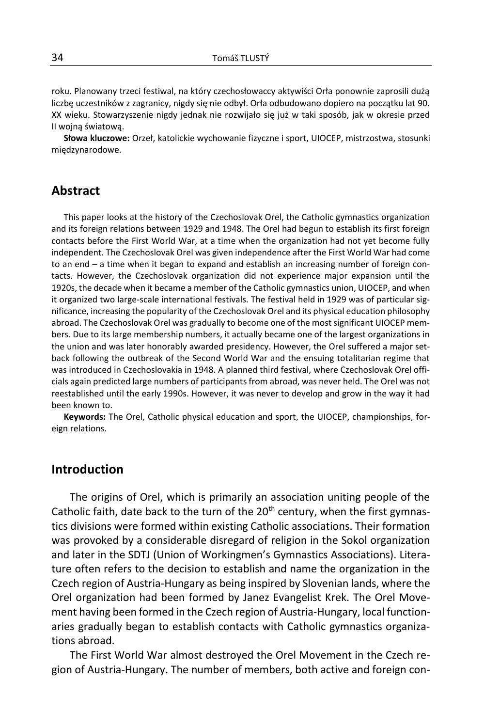roku. Planowany trzeci festiwal, na który czechosłowaccy aktywiści Orła ponownie zaprosili dużą liczbę uczestników z zagranicy, nigdy się nie odbył. Orła odbudowano dopiero na początku lat 90. XX wieku. Stowarzyszenie nigdy jednak nie rozwijało się już w taki sposób, jak w okresie przed II wojną światową.

**Słowa kluczowe:** Orzeł, katolickie wychowanie fizyczne i sport, UIOCEP, mistrzostwa, stosunki międzynarodowe.

### **Abstract**

This paper looks at the history of the Czechoslovak Orel, the Catholic gymnastics organization and its foreign relations between 1929 and 1948. The Orel had begun to establish its first foreign contacts before the First World War, at a time when the organization had not yet become fully independent. The Czechoslovak Orel was given independence after the First World War had come to an end – a time when it began to expand and establish an increasing number of foreign contacts. However, the Czechoslovak organization did not experience major expansion until the 1920s, the decade when it became a member of the Catholic gymnastics union, UIOCEP, and when it organized two large-scale international festivals. The festival held in 1929 was of particular significance, increasing the popularity of the Czechoslovak Orel and its physical education philosophy abroad. The Czechoslovak Orel was gradually to become one of the most significant UIOCEP members. Due to its large membership numbers, it actually became one of the largest organizations in the union and was later honorably awarded presidency. However, the Orel suffered a major setback following the outbreak of the Second World War and the ensuing totalitarian regime that was introduced in Czechoslovakia in 1948. A planned third festival, where Czechoslovak Orel officials again predicted large numbers of participants from abroad, was never held. The Orel was not reestablished until the early 1990s. However, it was never to develop and grow in the way it had been known to.

**Keywords:** The Orel, Catholic physical education and sport, the UIOCEP, championships, foreign relations.

### **Introduction**

The origins of Orel, which is primarily an association uniting people of the Catholic faith, date back to the turn of the  $20<sup>th</sup>$  century, when the first gymnastics divisions were formed within existing Catholic associations. Their formation was provoked by a considerable disregard of religion in the Sokol organization and later in the SDTJ (Union of Workingmen's Gymnastics Associations). Literature often refers to the decision to establish and name the organization in the Czech region of Austria-Hungary as being inspired by Slovenian lands, where the Orel organization had been formed by Janez Evangelist Krek. The Orel Movement having been formed in the Czech region of Austria-Hungary, local functionaries gradually began to establish contacts with Catholic gymnastics organizations abroad.

The First World War almost destroyed the Orel Movement in the Czech region of Austria-Hungary. The number of members, both active and foreign con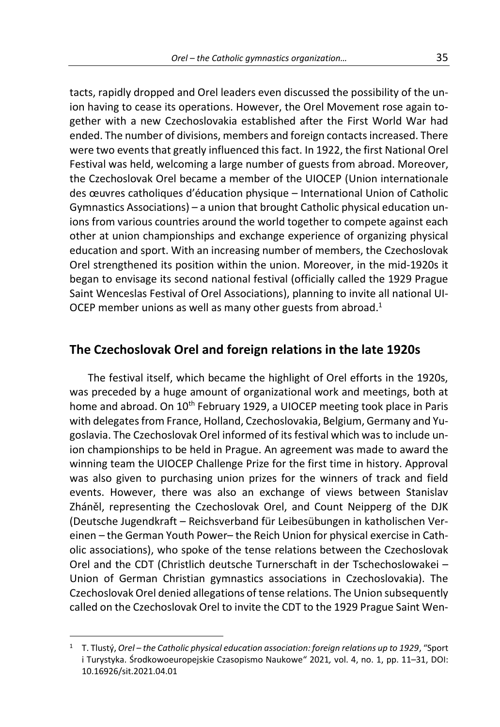tacts, rapidly dropped and Orel leaders even discussed the possibility of the union having to cease its operations. However, the Orel Movement rose again together with a new Czechoslovakia established after the First World War had ended. The number of divisions, members and foreign contacts increased. There were two events that greatly influenced this fact. In 1922, the first National Orel Festival was held, welcoming a large number of guests from abroad. Moreover, the Czechoslovak Orel became a member of the UIOCEP (Union internationale des œuvres catholiques d'éducation physique – International Union of Catholic Gymnastics Associations) – a union that brought Catholic physical education unions from various countries around the world together to compete against each other at union championships and exchange experience of organizing physical education and sport. With an increasing number of members, the Czechoslovak Orel strengthened its position within the union. Moreover, in the mid-1920s it began to envisage its second national festival (officially called the 1929 Prague Saint Wenceslas Festival of Orel Associations), planning to invite all national UI-OCEP member unions as well as many other guests from abroad.<sup>1</sup>

### **The Czechoslovak Orel and foreign relations in the late 1920s**

The festival itself, which became the highlight of Orel efforts in the 1920s, was preceded by a huge amount of organizational work and meetings, both at home and abroad. On 10<sup>th</sup> February 1929, a UIOCEP meeting took place in Paris with delegates from France, Holland, Czechoslovakia, Belgium, Germany and Yugoslavia. The Czechoslovak Orel informed of its festival which was to include union championships to be held in Prague. An agreement was made to award the winning team the UIOCEP Challenge Prize for the first time in history. Approval was also given to purchasing union prizes for the winners of track and field events. However, there was also an exchange of views between Stanislav Zháněl, representing the Czechoslovak Orel, and Count Neipperg of the DJK (Deutsche Jugendkraft – Reichsverband für Leibesübungen in katholischen Vereinen – the German Youth Power– the Reich Union for physical exercise in Catholic associations), who spoke of the tense relations between the Czechoslovak Orel and the CDT (Christlich deutsche Turnerschaft in der Tschechoslowakei – Union of German Christian gymnastics associations in Czechoslovakia). The Czechoslovak Orel denied allegations of tense relations. The Union subsequently called on the Czechoslovak Orel to invite the CDT to the 1929 Prague Saint Wen-

<sup>1</sup> T. Tlustý, *Orel – the Catholic physical education association: foreign relations up to 1929*, "Sport i Turystyka. Środkowoeuropejskie Czasopismo Naukowe" 2021*,* vol. 4, no. 1, pp. 11–31, DOI: 10.16926/sit.2021.04.01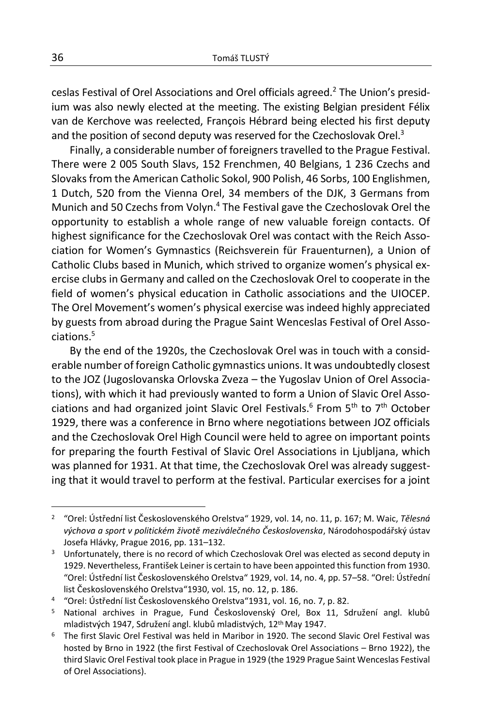ceslas Festival of Orel Associations and Orel officials agreed.<sup>2</sup> The Union's presidium was also newly elected at the meeting. The existing Belgian president Félix van de Kerchove was reelected, François Hébrard being elected his first deputy and the position of second deputy was reserved for the Czechoslovak Orel.<sup>3</sup>

Finally, a considerable number of foreigners travelled to the Prague Festival. There were 2 005 South Slavs, 152 Frenchmen, 40 Belgians, 1 236 Czechs and Slovaks from the American Catholic Sokol, 900 Polish, 46 Sorbs, 100 Englishmen, 1 Dutch, 520 from the Vienna Orel, 34 members of the DJK, 3 Germans from Munich and 50 Czechs from Volyn.<sup>4</sup> The Festival gave the Czechoslovak Orel the opportunity to establish a whole range of new valuable foreign contacts. Of highest significance for the Czechoslovak Orel was contact with the Reich Association for Women's Gymnastics (Reichsverein für Frauenturnen), a Union of Catholic Clubs based in Munich, which strived to organize women's physical exercise clubs in Germany and called on the Czechoslovak Orel to cooperate in the field of women's physical education in Catholic associations and the UIOCEP. The Orel Movement's women's physical exercise was indeed highly appreciated by guests from abroad during the Prague Saint Wenceslas Festival of Orel Associations.<sup>5</sup>

By the end of the 1920s, the Czechoslovak Orel was in touch with a considerable number of foreign Catholic gymnastics unions. It was undoubtedly closest to the JOZ (Jugoslovanska Orlovska Zveza – the Yugoslav Union of Orel Associations), with which it had previously wanted to form a Union of Slavic Orel Associations and had organized joint Slavic Orel Festivals.<sup>6</sup> From  $5<sup>th</sup>$  to  $7<sup>th</sup>$  October 1929, there was a conference in Brno where negotiations between JOZ officials and the Czechoslovak Orel High Council were held to agree on important points for preparing the fourth Festival of Slavic Orel Associations in Ljubljana, which was planned for 1931. At that time, the Czechoslovak Orel was already suggesting that it would travel to perform at the festival. Particular exercises for a joint

<sup>2</sup> "Orel: Ústřední list Československého Orelstva" 1929, vol. 14, no. 11, p. 167; M. Waic, *Tělesná výchova a sport v politickém životě meziválečného Československa*, Národohospodářský ústav Josefa Hlávky, Prague 2016, pp. 131–132.

<sup>3</sup> Unfortunately, there is no record of which Czechoslovak Orel was elected as second deputy in 1929. Nevertheless, František Leiner is certain to have been appointed this function from 1930. "Orel: Ústřední list Československého Orelstva" 1929, vol. 14, no. 4, pp. 57–58. "Orel: Ústřední list Československého Orelstva"1930, vol. 15, no. 12, p. 186.

<sup>4</sup> "Orel: Ústřední list Československého Orelstva"1931, vol. 16, no. 7, p. 82.

<sup>5</sup> National archives in Prague, Fund Československý Orel, Box 11, Sdružení angl. klubů mladistvých 1947, Sdružení angl. klubů mladistvých, 12th May 1947.

<sup>6</sup> The first Slavic Orel Festival was held in Maribor in 1920. The second Slavic Orel Festival was hosted by Brno in 1922 (the first Festival of Czechoslovak Orel Associations – Brno 1922), the third Slavic Orel Festival took place in Prague in 1929 (the 1929 Prague Saint Wenceslas Festival of Orel Associations).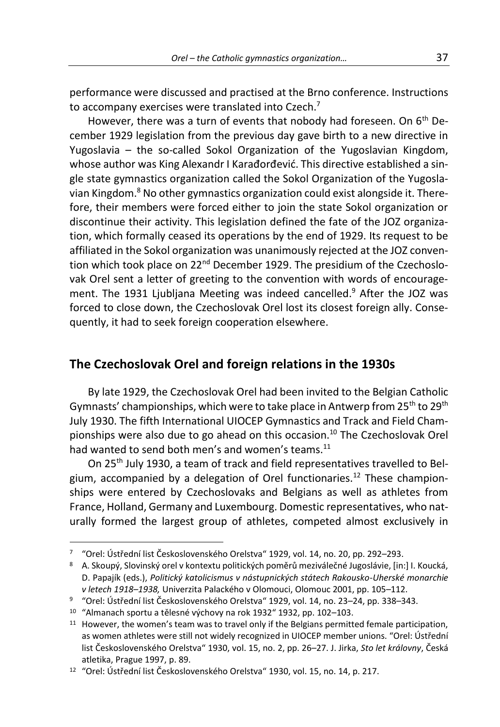performance were discussed and practised at the Brno conference. Instructions to accompany exercises were translated into Czech.<sup>7</sup>

However, there was a turn of events that nobody had foreseen. On 6<sup>th</sup> December 1929 legislation from the previous day gave birth to a new directive in Yugoslavia – the so-called Sokol Organization of the Yugoslavian Kingdom, whose author was King Alexandr I Karađorđević. This directive established a single state gymnastics organization called the Sokol Organization of the Yugoslavian Kingdom.<sup>8</sup> No other gymnastics organization could exist alongside it. Therefore, their members were forced either to join the state Sokol organization or discontinue their activity. This legislation defined the fate of the JOZ organization, which formally ceased its operations by the end of 1929. Its request to be affiliated in the Sokol organization was unanimously rejected at the JOZ convention which took place on 22<sup>nd</sup> December 1929. The presidium of the Czechoslovak Orel sent a letter of greeting to the convention with words of encouragement. The 1931 Ljubljana Meeting was indeed cancelled.<sup>9</sup> After the JOZ was forced to close down, the Czechoslovak Orel lost its closest foreign ally. Consequently, it had to seek foreign cooperation elsewhere.

# **The Czechoslovak Orel and foreign relations in the 1930s**

By late 1929, the Czechoslovak Orel had been invited to the Belgian Catholic Gymnasts' championships, which were to take place in Antwerp from 25<sup>th</sup> to 29<sup>th</sup> July 1930. The fifth International UIOCEP Gymnastics and Track and Field Championships were also due to go ahead on this occasion.<sup>10</sup> The Czechoslovak Orel had wanted to send both men's and women's teams.<sup>11</sup>

On 25th July 1930, a team of track and field representatives travelled to Belgium, accompanied by a delegation of Orel functionaries.<sup>12</sup> These championships were entered by Czechoslovaks and Belgians as well as athletes from France, Holland, Germany and Luxembourg. Domestic representatives, who naturally formed the largest group of athletes, competed almost exclusively in

<sup>7</sup> "Orel: Ústřední list Československého Orelstva" 1929, vol. 14, no. 20, pp. 292–293.

<sup>8</sup> A. Skoupý, Slovinský orel v kontextu politických poměrů meziválečné Jugoslávie, [in:] I. Koucká, D. Papajík (eds.), *Politický katolicismus v nástupnických státech Rakousko-Uherské monarchie v letech 1918–1938,* Univerzita Palackého v Olomouci, Olomouc 2001, pp. 105*–*112.

<sup>9</sup> "Orel: Ústřední list Československého Orelstva" 1929, vol. 14, no. 23–24, pp. 338–343.

<sup>10</sup> "Almanach sportu a tělesné výchovy na rok 1932" 1932, pp. 102–103.

<sup>&</sup>lt;sup>11</sup> However, the women's team was to travel only if the Belgians permitted female participation, as women athletes were still not widely recognized in UIOCEP member unions. "Orel: Ústřední list Československého Orelstva" 1930, vol. 15, no. 2, pp. 26–27. J. Jirka, *Sto let královny*, Česká atletika, Prague 1997, p. 89.

<sup>12</sup> "Orel: Ústřední list Československého Orelstva" 1930, vol. 15, no. 14, p. 217.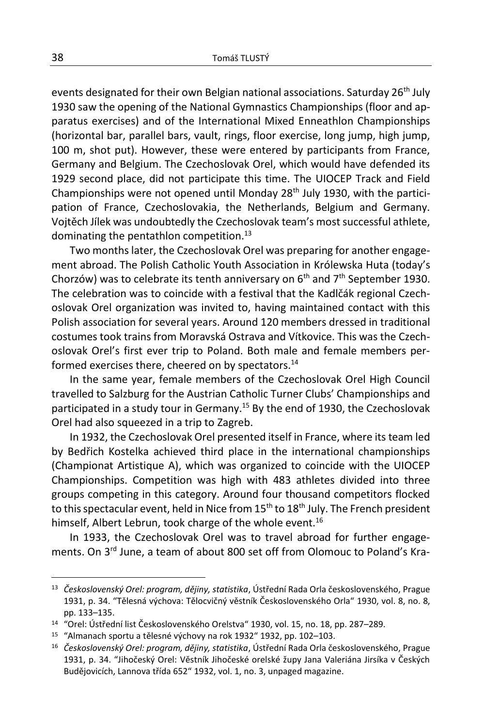events designated for their own Belgian national associations. Saturday 26<sup>th</sup> July 1930 saw the opening of the National Gymnastics Championships (floor and apparatus exercises) and of the International Mixed Enneathlon Championships (horizontal bar, parallel bars, vault, rings, floor exercise, long jump, high jump, 100 m, shot put). However, these were entered by participants from France, Germany and Belgium. The Czechoslovak Orel, which would have defended its 1929 second place, did not participate this time. The UIOCEP Track and Field Championships were not opened until Monday  $28<sup>th</sup>$  July 1930, with the participation of France, Czechoslovakia, the Netherlands, Belgium and Germany. Vojtěch Jílek was undoubtedly the Czechoslovak team's most successful athlete, dominating the pentathlon competition.<sup>13</sup>

Two months later, the Czechoslovak Orel was preparing for another engagement abroad. The Polish Catholic Youth Association in Królewska Huta (today's Chorzów) was to celebrate its tenth anniversary on  $6<sup>th</sup>$  and  $7<sup>th</sup>$  September 1930. The celebration was to coincide with a festival that the Kadlčák regional Czechoslovak Orel organization was invited to, having maintained contact with this Polish association for several years. Around 120 members dressed in traditional costumes took trains from Moravská Ostrava and Vítkovice. This was the Czechoslovak Orel's first ever trip to Poland. Both male and female members performed exercises there, cheered on by spectators.<sup>14</sup>

In the same year, female members of the Czechoslovak Orel High Council travelled to Salzburg for the Austrian Catholic Turner Clubs' Championships and participated in a study tour in Germany.<sup>15</sup> By the end of 1930, the Czechoslovak Orel had also squeezed in a trip to Zagreb.

In 1932, the Czechoslovak Orel presented itself in France, where its team led by Bedřich Kostelka achieved third place in the international championships (Championat Artistique A), which was organized to coincide with the UIOCEP Championships. Competition was high with 483 athletes divided into three groups competing in this category. Around four thousand competitors flocked to this spectacular event, held in Nice from  $15<sup>th</sup>$  to  $18<sup>th</sup>$  July. The French president himself, Albert Lebrun, took charge of the whole event.<sup>16</sup>

In 1933, the Czechoslovak Orel was to travel abroad for further engagements. On 3<sup>rd</sup> June, a team of about 800 set off from Olomouc to Poland's Kra-

<sup>13</sup> *Československý Orel: program, dějiny, statistika*, Ústřední Rada Orla československého, Prague 1931, p. 34. "Tělesná výchova: Tělocvičný věstník Československého Orla" 1930, vol. 8, no. 8, pp. 133–135.

<sup>14</sup> "Orel: Ústřední list Československého Orelstva" 1930, vol. 15, no. 18, pp. 287–289.

<sup>15</sup> "Almanach sportu a tělesné výchovy na rok 1932" 1932, pp. 102–103.

<sup>16</sup> *Československý Orel: program, dějiny, statistika*, Ústřední Rada Orla československého, Prague 1931, p. 34. "Jihočeský Orel: Věstník Jihočeské orelské župy Jana Valeriána Jirsíka v Českých Budějovicích, Lannova třída 652" 1932, vol. 1, no. 3, unpaged magazine.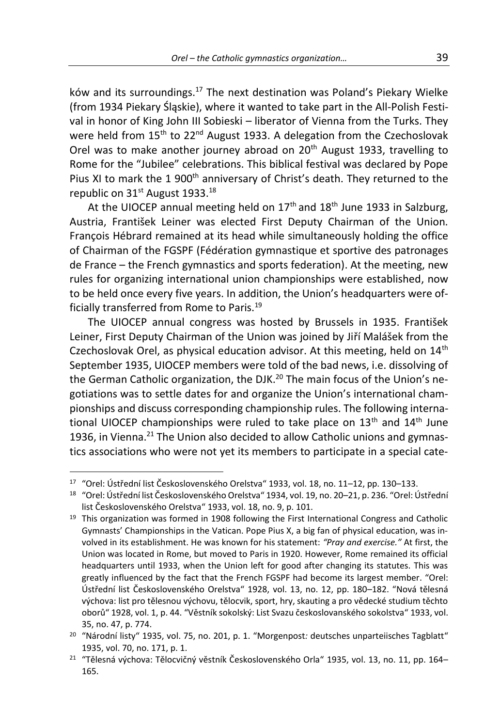ków and its surroundings.<sup>17</sup> The next destination was Poland's Piekary Wielke (from 1934 Piekary Śląskie), where it wanted to take part in the All-Polish Festival in honor of King John III Sobieski – liberator of Vienna from the Turks. They were held from 15<sup>th</sup> to 22<sup>nd</sup> August 1933. A delegation from the Czechoslovak Orel was to make another journey abroad on 20<sup>th</sup> August 1933, travelling to Rome for the "Jubilee" celebrations. This biblical festival was declared by Pope Pius XI to mark the 1 900<sup>th</sup> anniversary of Christ's death. They returned to the republic on 31<sup>st</sup> August 1933.<sup>18</sup>

At the UIOCEP annual meeting held on  $17<sup>th</sup>$  and  $18<sup>th</sup>$  June 1933 in Salzburg, Austria, František Leiner was elected First Deputy Chairman of the Union. François Hébrard remained at its head while simultaneously holding the office of Chairman of the FGSPF (Fédération gymnastique et sportive des patronages de France – the French gymnastics and sports federation). At the meeting, new rules for organizing international union championships were established, now to be held once every five years. In addition, the Union's headquarters were officially transferred from Rome to Paris.<sup>19</sup>

The UIOCEP annual congress was hosted by Brussels in 1935. František Leiner, First Deputy Chairman of the Union was joined by Jiří Malášek from the Czechoslovak Orel, as physical education advisor. At this meeting, held on  $14<sup>th</sup>$ September 1935, UIOCEP members were told of the bad news, i.e. dissolving of the German Catholic organization, the DJK.<sup>20</sup> The main focus of the Union's negotiations was to settle dates for and organize the Union's international championships and discuss corresponding championship rules. The following international UIOCEP championships were ruled to take place on  $13<sup>th</sup>$  and  $14<sup>th</sup>$  June 1936, in Vienna. $^{21}$  The Union also decided to allow Catholic unions and gymnastics associations who were not yet its members to participate in a special cate-

<sup>17</sup> "Orel: Ústřední list Československého Orelstva" 1933, vol. 18, no. 11–12, pp. 130–133.

<sup>18</sup> "Orel: Ústřední list Československého Orelstva" 1934, vol. 19, no. 20–21, p. 236. "Orel: Ústřední list Československého Orelstva" 1933, vol. 18, no. 9, p. 101.

 $19$  This organization was formed in 1908 following the First International Congress and Catholic Gymnasts' Championships in the Vatican. Pope Pius X, a big fan of physical education, was involved in its establishment. He was known for his statement: *"Pray and exercise."* At first, the Union was located in Rome, but moved to Paris in 1920. However, Rome remained its official headquarters until 1933, when the Union left for good after changing its statutes. This was greatly influenced by the fact that the French FGSPF had become its largest member. "Orel: Ústřední list Československého Orelstva" 1928, vol. 13, no. 12, pp. 180–182. "Nová tělesná výchova: list pro tělesnou výchovu, tělocvik, sport, hry, skauting a pro vědecké studium těchto oborů" 1928, vol. 1, p. 44. "Věstník sokolský: List Svazu českoslovanského sokolstva" 1933, vol. 35, no. 47, p. 774.

<sup>20</sup> "Národní listy" 1935, vol. 75, no. 201, p. 1. "Morgenpost*:* deutsches unparteiisches Tagblatt" 1935, vol. 70, no. 171, p. 1.

<sup>&</sup>lt;sup>21</sup> "Tělesná výchova: Tělocvičný věstník Československého Orla" 1935, vol. 13, no. 11, pp. 164– 165.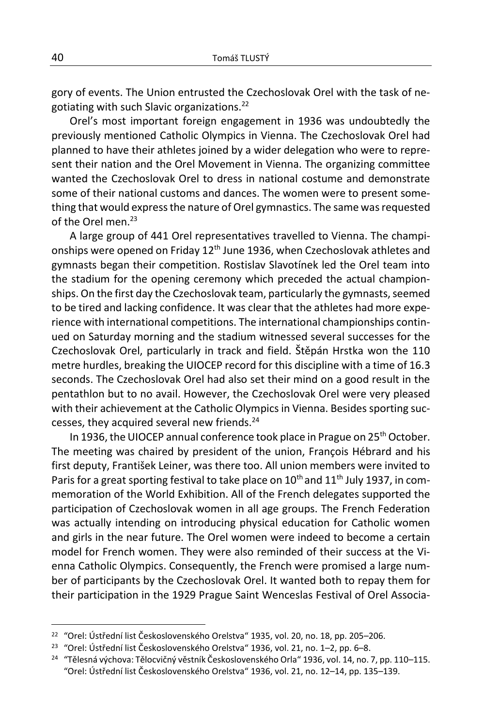gory of events. The Union entrusted the Czechoslovak Orel with the task of negotiating with such Slavic organizations.<sup>22</sup>

Orel's most important foreign engagement in 1936 was undoubtedly the previously mentioned Catholic Olympics in Vienna. The Czechoslovak Orel had planned to have their athletes joined by a wider delegation who were to represent their nation and the Orel Movement in Vienna. The organizing committee wanted the Czechoslovak Orel to dress in national costume and demonstrate some of their national customs and dances. The women were to present something that would express the nature of Orel gymnastics. The same was requested of the Orel men.<sup>23</sup>

A large group of 441 Orel representatives travelled to Vienna. The championships were opened on Friday 12<sup>th</sup> June 1936, when Czechoslovak athletes and gymnasts began their competition. Rostislav Slavotínek led the Orel team into the stadium for the opening ceremony which preceded the actual championships. On the first day the Czechoslovak team, particularly the gymnasts, seemed to be tired and lacking confidence. It was clear that the athletes had more experience with international competitions. The international championships continued on Saturday morning and the stadium witnessed several successes for the Czechoslovak Orel, particularly in track and field. Štěpán Hrstka won the 110 metre hurdles, breaking the UIOCEP record for this discipline with a time of 16.3 seconds. The Czechoslovak Orel had also set their mind on a good result in the pentathlon but to no avail. However, the Czechoslovak Orel were very pleased with their achievement at the Catholic Olympics in Vienna. Besides sporting successes, they acquired several new friends.<sup>24</sup>

In 1936, the UIOCEP annual conference took place in Prague on 25<sup>th</sup> October. The meeting was chaired by president of the union, François Hébrard and his first deputy, František Leiner, was there too. All union members were invited to Paris for a great sporting festival to take place on  $10<sup>th</sup>$  and  $11<sup>th</sup>$  July 1937, in commemoration of the World Exhibition. All of the French delegates supported the participation of Czechoslovak women in all age groups. The French Federation was actually intending on introducing physical education for Catholic women and girls in the near future. The Orel women were indeed to become a certain model for French women. They were also reminded of their success at the Vienna Catholic Olympics. Consequently, the French were promised a large number of participants by the Czechoslovak Orel. It wanted both to repay them for their participation in the 1929 Prague Saint Wenceslas Festival of Orel Associa-

<sup>22</sup> "Orel: Ústřední list Československého Orelstva" 1935, vol. 20, no. 18, pp. 205–206.

<sup>23</sup> "Orel: Ústřední list Československého Orelstva" 1936, vol. 21, no. 1–2, pp. 6–8.

<sup>&</sup>lt;sup>24</sup> "Tělesná výchova: Tělocvičný věstník Československého Orla" 1936, vol. 14, no. 7, pp. 110–115. "Orel: Ústřední list Československého Orelstva" 1936, vol. 21, no. 12–14, pp. 135–139.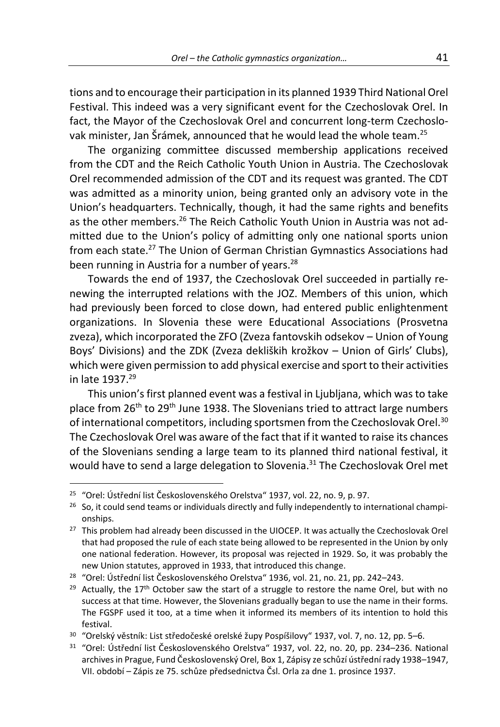tions and to encourage their participation in its planned 1939 Third National Orel Festival. This indeed was a very significant event for the Czechoslovak Orel. In fact, the Mayor of the Czechoslovak Orel and concurrent long-term Czechoslovak minister, Jan Šrámek, announced that he would lead the whole team.<sup>25</sup>

The organizing committee discussed membership applications received from the CDT and the Reich Catholic Youth Union in Austria. The Czechoslovak Orel recommended admission of the CDT and its request was granted. The CDT was admitted as a minority union, being granted only an advisory vote in the Union's headquarters. Technically, though, it had the same rights and benefits as the other members.<sup>26</sup> The Reich Catholic Youth Union in Austria was not admitted due to the Union's policy of admitting only one national sports union from each state.<sup>27</sup> The Union of German Christian Gymnastics Associations had been running in Austria for a number of years.<sup>28</sup>

Towards the end of 1937, the Czechoslovak Orel succeeded in partially renewing the interrupted relations with the JOZ. Members of this union, which had previously been forced to close down, had entered public enlightenment organizations. In Slovenia these were Educational Associations (Prosvetna zveza), which incorporated the ZFO (Zveza fantovskih odsekov – Union of Young Boys' Divisions) and the ZDK (Zveza dekliških krožkov – Union of Girls' Clubs), which were given permission to add physical exercise and sport to their activities in late 1937.<sup>29</sup>

This union's first planned event was a festival in Ljubljana, which was to take place from 26<sup>th</sup> to 29<sup>th</sup> June 1938. The Slovenians tried to attract large numbers of international competitors, including sportsmen from the Czechoslovak Orel.<sup>30</sup> The Czechoslovak Orel was aware of the fact that if it wanted to raise its chances of the Slovenians sending a large team to its planned third national festival, it would have to send a large delegation to Slovenia.<sup>31</sup> The Czechoslovak Orel met

<sup>25</sup> "Orel: Ústřední list Československého Orelstva" 1937, vol. 22, no. 9, p. 97.

 $26$  So, it could send teams or individuals directly and fully independently to international championships.

<sup>&</sup>lt;sup>27</sup> This problem had already been discussed in the UIOCEP. It was actually the Czechoslovak Orel that had proposed the rule of each state being allowed to be represented in the Union by only one national federation. However, its proposal was rejected in 1929. So, it was probably the new Union statutes, approved in 1933, that introduced this change.

<sup>&</sup>lt;sup>28</sup> "Orel: Ústřední list Československého Orelstva" 1936, vol. 21, no. 21, pp. 242–243.

 $29$  Actually, the 17<sup>th</sup> October saw the start of a struggle to restore the name Orel, but with no success at that time. However, the Slovenians gradually began to use the name in their forms. The FGSPF used it too, at a time when it informed its members of its intention to hold this festival.

<sup>30</sup> "Orelský věstník: List středočeské orelské župy Pospíšilovy" 1937, vol. 7, no. 12, pp. 5–6.

<sup>31</sup> "Orel: Ústřední list Československého Orelstva" 1937, vol. 22, no. 20, pp. 234–236. National archives in Prague, Fund Československý Orel, Box 1, Zápisy ze schůzí ústřední rady 1938–1947, VII. období – Zápis ze 75. schůze předsednictva Čsl. Orla za dne 1. prosince 1937.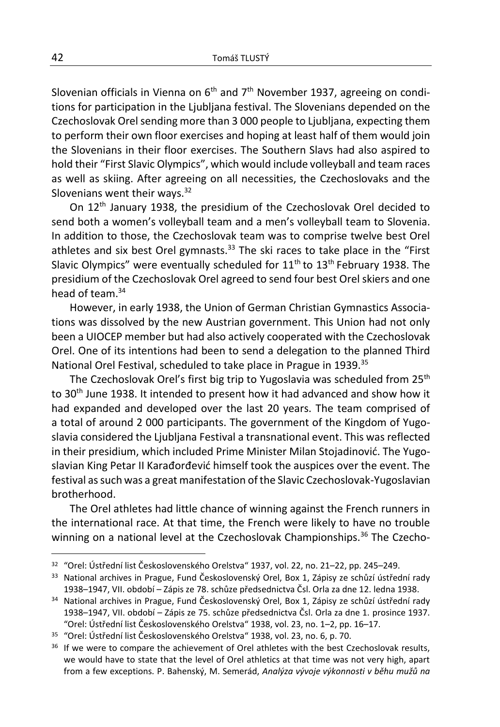Slovenian officials in Vienna on  $6<sup>th</sup>$  and  $7<sup>th</sup>$  November 1937, agreeing on conditions for participation in the Ljubljana festival. The Slovenians depended on the Czechoslovak Orel sending more than 3 000 people to Ljubljana, expecting them to perform their own floor exercises and hoping at least half of them would join the Slovenians in their floor exercises. The Southern Slavs had also aspired to hold their "First Slavic Olympics", which would include volleyball and team races as well as skiing. After agreeing on all necessities, the Czechoslovaks and the Slovenians went their ways.<sup>32</sup>

On 12<sup>th</sup> January 1938, the presidium of the Czechoslovak Orel decided to send both a women's volleyball team and a men's volleyball team to Slovenia. In addition to those, the Czechoslovak team was to comprise twelve best Orel athletes and six best Orel gymnasts. $33$  The ski races to take place in the "First Slavic Olympics" were eventually scheduled for  $11<sup>th</sup>$  to  $13<sup>th</sup>$  February 1938. The presidium of the Czechoslovak Orel agreed to send four best Orel skiers and one head of team.<sup>34</sup>

However, in early 1938, the Union of German Christian Gymnastics Associations was dissolved by the new Austrian government. This Union had not only been a UIOCEP member but had also actively cooperated with the Czechoslovak Orel. One of its intentions had been to send a delegation to the planned Third National Orel Festival, scheduled to take place in Prague in 1939.<sup>35</sup>

The Czechoslovak Orel's first big trip to Yugoslavia was scheduled from  $25<sup>th</sup>$ to 30<sup>th</sup> June 1938. It intended to present how it had advanced and show how it had expanded and developed over the last 20 years. The team comprised of a total of around 2 000 participants. The government of the Kingdom of Yugoslavia considered the Ljubljana Festival a transnational event. This was reflected in their presidium, which included Prime Minister Milan Stojadinović. The Yugoslavian King Petar II Karađorđević himself took the auspices over the event. The festival as such was a great manifestation of the Slavic Czechoslovak-Yugoslavian brotherhood.

The Orel athletes had little chance of winning against the French runners in the international race. At that time, the French were likely to have no trouble winning on a national level at the Czechoslovak Championships.<sup>36</sup> The Czecho-

<sup>32</sup> "Orel: Ústřední list Československého Orelstva" 1937, vol. 22, no. 21–22, pp. 245–249.

<sup>33</sup> National archives in Prague, Fund Československý Orel, Box 1, Zápisy ze schůzí ústřední rady 1938–1947, VII. období – Zápis ze 78. schůze předsednictva Čsl. Orla za dne 12. ledna 1938.

<sup>34</sup> National archives in Prague, Fund Československý Orel, Box 1, Zápisy ze schůzí ústřední rady 1938–1947, VII. období – Zápis ze 75. schůze předsednictva Čsl. Orla za dne 1. prosince 1937. "Orel: Ústřední list Československého Orelstva" 1938, vol. 23, no. 1–2, pp. 16–17.

<sup>35</sup> "Orel: Ústřední list Československého Orelstva" 1938, vol. 23, no. 6, p. 70.

<sup>&</sup>lt;sup>36</sup> If we were to compare the achievement of Orel athletes with the best Czechoslovak results, we would have to state that the level of Orel athletics at that time was not very high, apart from a few exceptions. P. Bahenský, M. Semerád, *Analýza vývoje výkonnosti v běhu mužů na*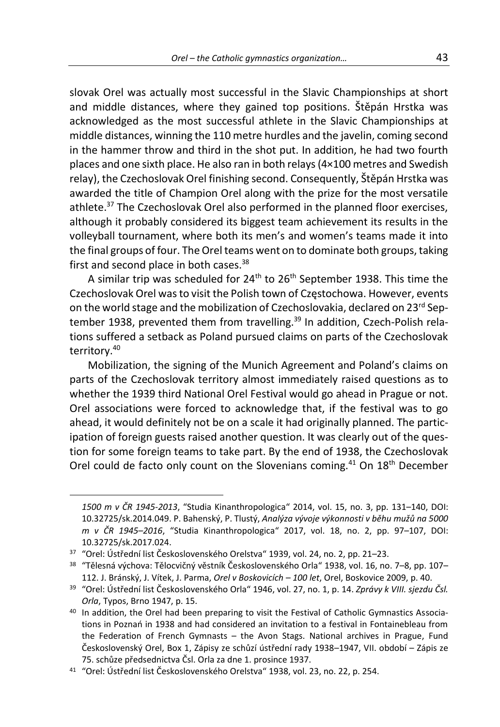slovak Orel was actually most successful in the Slavic Championships at short and middle distances, where they gained top positions. Štěpán Hrstka was acknowledged as the most successful athlete in the Slavic Championships at middle distances, winning the 110 metre hurdles and the javelin, coming second in the hammer throw and third in the shot put. In addition, he had two fourth places and one sixth place. He also ran in both relays (4×100 metres and Swedish relay), the Czechoslovak Orel finishing second. Consequently, Štěpán Hrstka was awarded the title of Champion Orel along with the prize for the most versatile athlete.<sup>37</sup> The Czechoslovak Orel also performed in the planned floor exercises, although it probably considered its biggest team achievement its results in the volleyball tournament, where both its men's and women's teams made it into the final groups of four. The Orel teams went on to dominate both groups, taking first and second place in both cases. $38$ 

A similar trip was scheduled for  $24<sup>th</sup>$  to  $26<sup>th</sup>$  September 1938. This time the Czechoslovak Orel was to visit the Polish town of Częstochowa. However, events on the world stage and the mobilization of Czechoslovakia, declared on 23<sup>rd</sup> September 1938, prevented them from travelling. <sup>39</sup> In addition, Czech-Polish relations suffered a setback as Poland pursued claims on parts of the Czechoslovak territory.<sup>40</sup>

Mobilization, the signing of the Munich Agreement and Poland's claims on parts of the Czechoslovak territory almost immediately raised questions as to whether the 1939 third National Orel Festival would go ahead in Prague or not. Orel associations were forced to acknowledge that, if the festival was to go ahead, it would definitely not be on a scale it had originally planned. The participation of foreign guests raised another question. It was clearly out of the question for some foreign teams to take part. By the end of 1938, the Czechoslovak Orel could de facto only count on the Slovenians coming.<sup>41</sup> On 18<sup>th</sup> December

*<sup>1500</sup> m v ČR 1945-2013*, "Studia Kinanthropologica" 2014, vol. 15, no. 3, pp. 131–140, DOI: 10.32725/sk.2014.049. P. Bahenský, P. Tlustý, *Analýza vývoje výkonnosti v běhu mužů na 5000 m v ČR 1945–2016*, "Studia Kinanthropologica" 2017, vol. 18, no. 2, pp. 97–107, DOI: 10.32725/sk.2017.024.

<sup>37</sup> "Orel: Ústřední list Československého Orelstva" 1939, vol. 24, no. 2, pp. 21–23.

<sup>38</sup> "Tělesná výchova: Tělocvičný věstník Československého Orla" 1938, vol. 16, no. 7–8, pp. 107– 112. J. Bránský, J. Vítek, J. Parma, *Orel v Boskovicích – 100 let*, Orel, Boskovice 2009, p. 40.

<sup>39</sup> "Orel: Ústřední list Československého Orla" 1946, vol. 27, no. 1, p. 14. *Zprávy k VIII. sjezdu Čsl. Orla*, Typos, Brno 1947, p. 15.

<sup>40</sup> In addition, the Orel had been preparing to visit the Festival of Catholic Gymnastics Associations in Poznań in 1938 and had considered an invitation to a festival in Fontainebleau from the Federation of French Gymnasts – the Avon Stags. National archives in Prague, Fund Československý Orel, Box 1, Zápisy ze schůzí ústřední rady 1938–1947, VII. období – Zápis ze 75. schůze předsednictva Čsl. Orla za dne 1. prosince 1937.

<sup>41</sup> "Orel: Ústřední list Československého Orelstva" 1938, vol. 23, no. 22, p. 254.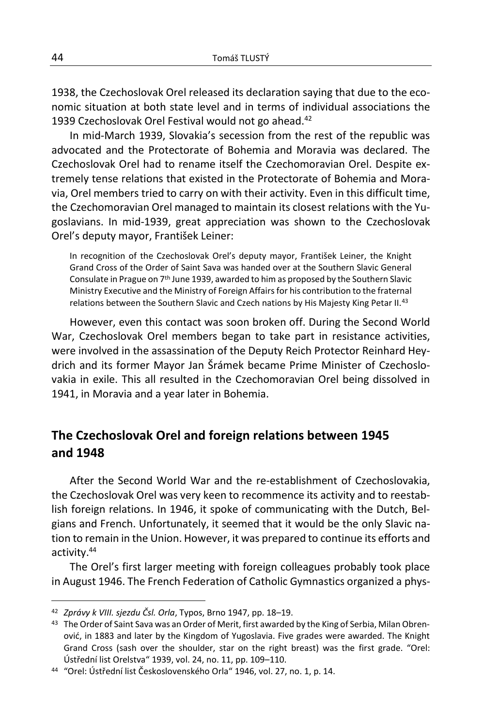1938, the Czechoslovak Orel released its declaration saying that due to the economic situation at both state level and in terms of individual associations the 1939 Czechoslovak Orel Festival would not go ahead.<sup>42</sup>

In mid-March 1939, Slovakia's secession from the rest of the republic was advocated and the Protectorate of Bohemia and Moravia was declared. The Czechoslovak Orel had to rename itself the Czechomoravian Orel. Despite extremely tense relations that existed in the Protectorate of Bohemia and Moravia, Orel members tried to carry on with their activity. Even in this difficult time, the Czechomoravian Orel managed to maintain its closest relations with the Yugoslavians. In mid-1939, great appreciation was shown to the Czechoslovak Orel's deputy mayor, František Leiner:

In recognition of the Czechoslovak Orel's deputy mayor, František Leiner, the Knight Grand Cross of the Order of Saint Sava was handed over at the Southern Slavic General Consulate in Prague on 7<sup>th</sup> June 1939, awarded to him as proposed by the Southern Slavic Ministry Executive and the Ministry of Foreign Affairs for his contribution to the fraternal relations between the Southern Slavic and Czech nations by His Majesty King Petar II.<sup>43</sup>

However, even this contact was soon broken off. During the Second World War, Czechoslovak Orel members began to take part in resistance activities, were involved in the assassination of the Deputy Reich Protector Reinhard Heydrich and its former Mayor Jan Šrámek became Prime Minister of Czechoslovakia in exile. This all resulted in the Czechomoravian Orel being dissolved in 1941, in Moravia and a year later in Bohemia.

# **The Czechoslovak Orel and foreign relations between 1945 and 1948**

After the Second World War and the re-establishment of Czechoslovakia, the Czechoslovak Orel was very keen to recommence its activity and to reestablish foreign relations. In 1946, it spoke of communicating with the Dutch, Belgians and French. Unfortunately, it seemed that it would be the only Slavic nation to remain in the Union. However, it was prepared to continue its efforts and activity.<sup>44</sup>

The Orel's first larger meeting with foreign colleagues probably took place in August 1946. The French Federation of Catholic Gymnastics organized a phys-

<sup>42</sup> *Zprávy k VIII. sjezdu Čsl. Orla*, Typos, Brno 1947, pp. 18–19.

<sup>43</sup> The Order of Saint Sava was an Order of Merit, first awarded by the King of Serbia, Milan Obrenović, in 1883 and later by the Kingdom of Yugoslavia. Five grades were awarded. The Knight Grand Cross (sash over the shoulder, star on the right breast) was the first grade. "Orel: Ústřední list Orelstva" 1939, vol. 24, no. 11, pp. 109–110.

<sup>44</sup> "Orel: Ústřední list Československého Orla" 1946, vol. 27, no. 1, p. 14.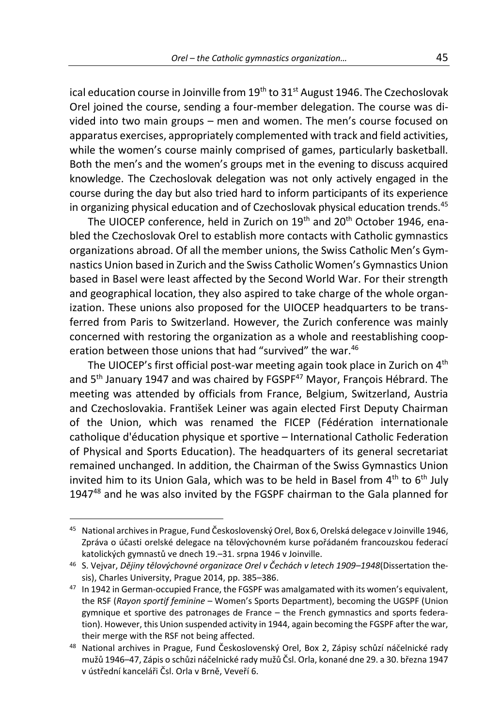ical education course in Joinville from  $19<sup>th</sup>$  to  $31<sup>st</sup>$  August 1946. The Czechoslovak Orel joined the course, sending a four-member delegation. The course was divided into two main groups – men and women. The men's course focused on apparatus exercises, appropriately complemented with track and field activities, while the women's course mainly comprised of games, particularly basketball. Both the men's and the women's groups met in the evening to discuss acquired knowledge. The Czechoslovak delegation was not only actively engaged in the course during the day but also tried hard to inform participants of its experience in organizing physical education and of Czechoslovak physical education trends.<sup>45</sup>

The UIOCEP conference, held in Zurich on 19<sup>th</sup> and 20<sup>th</sup> October 1946. enabled the Czechoslovak Orel to establish more contacts with Catholic gymnastics organizations abroad. Of all the member unions, the Swiss Catholic Men's Gymnastics Union based in Zurich and the Swiss Catholic Women's Gymnastics Union based in Basel were least affected by the Second World War. For their strength and geographical location, they also aspired to take charge of the whole organization. These unions also proposed for the UIOCEP headquarters to be transferred from Paris to Switzerland. However, the Zurich conference was mainly concerned with restoring the organization as a whole and reestablishing cooperation between those unions that had "survived" the war.<sup>46</sup>

The UIOCEP's first official post-war meeting again took place in Zurich on 4<sup>th</sup> and 5<sup>th</sup> January 1947 and was chaired by FGSPF<sup>47</sup> Mayor, François Hébrard. The meeting was attended by officials from France, Belgium, Switzerland, Austria and Czechoslovakia. František Leiner was again elected First Deputy Chairman of the Union, which was renamed the FICEP (Fédération internationale catholique d'éducation physique et sportive *–* International Catholic Federation of Physical and Sports Education). The headquarters of its general secretariat remained unchanged. In addition, the Chairman of the Swiss Gymnastics Union invited him to its Union Gala, which was to be held in Basel from  $4<sup>th</sup>$  to  $6<sup>th</sup>$  July 1947<sup>48</sup> and he was also invited by the FGSPF chairman to the Gala planned for

<sup>45</sup> National archives in Prague, Fund Československý Orel, Box 6, Orelská delegace v Joinville 1946, Zpráva o účasti orelské delegace na tělovýchovném kurse pořádaném francouzskou federací katolických gymnastů ve dnech 19.–31. srpna 1946 v Joinville.

<sup>46</sup> S. Vejvar, *Dějiny tělovýchovné organizace Orel v Čechách v letech 1909–1948*(Dissertation thesis), Charles University, Prague 2014, pp. 385–386.

<sup>&</sup>lt;sup>47</sup> In 1942 in German-occupied France, the FGSPF was amalgamated with its women's equivalent, the RSF (*Rayon sportif feminine* – Women's Sports Department), becoming the UGSPF (Union gymnique et sportive des patronages de France – the French gymnastics and sports federation). However, this Union suspended activity in 1944, again becoming the FGSPF after the war, their merge with the RSF not being affected.

<sup>48</sup> National archives in Prague, Fund Československý Orel, Box 2, Zápisy schůzí náčelnické rady mužů 1946–47, Zápis o schůzi náčelnické rady mužů Čsl. Orla, konané dne 29. a 30. března 1947 v ústřední kanceláři Čsl. Orla v Brně, Veveří 6.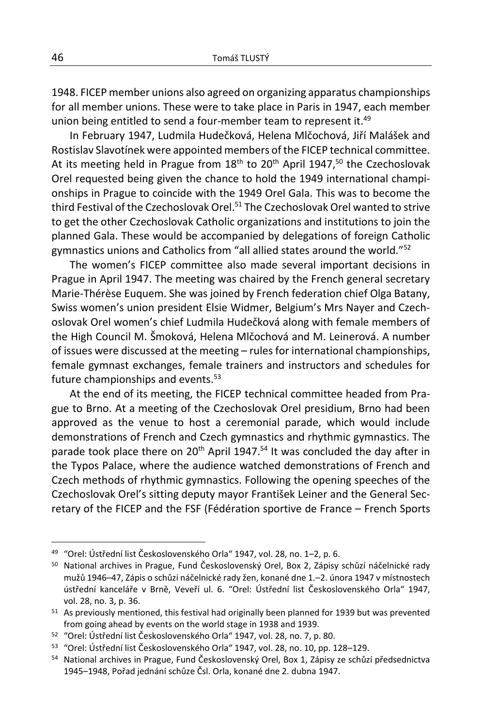1948. FICEP member unions also agreed on organizing apparatus championships for all member unions. These were to take place in Paris in 1947, each member union being entitled to send a four-member team to represent it.<sup>49</sup>

In February 1947, Ludmila Hudečková, Helena Mlčochová, Jiří Malášek and Rostislav Slavotínek were appointed members of the FICEP technical committee. At its meeting held in Prague from  $18<sup>th</sup>$  to  $20<sup>th</sup>$  April 1947,<sup>50</sup> the Czechoslovak Orel requested being given the chance to hold the 1949 international championships in Prague to coincide with the 1949 Orel Gala. This was to become the third Festival of the Czechoslovak Orel.<sup>51</sup> The Czechoslovak Orel wanted to strive to get the other Czechoslovak Catholic organizations and institutions to join the planned Gala. These would be accompanied by delegations of foreign Catholic gymnastics unions and Catholics from "all allied states around the world."<sup>52</sup>

The women's FICEP committee also made several important decisions in Prague in April 1947. The meeting was chaired by the French general secretary Marie-Thérèse Euquem. She was joined by French federation chief Olga Batany, Swiss women's union president Elsie Widmer, Belgium's Mrs Nayer and Czechoslovak Orel women's chief Ludmila Hudečková along with female members of the High Council M. Šmoková, Helena Mlčochová and M. Leinerová. A number of issues were discussed at the meeting – rules for international championships, female gymnast exchanges, female trainers and instructors and schedules for future championships and events. $53$ 

At the end of its meeting, the FICEP technical committee headed from Prague to Brno. At a meeting of the Czechoslovak Orel presidium, Brno had been approved as the venue to host a ceremonial parade, which would include demonstrations of French and Czech gymnastics and rhythmic gymnastics. The parade took place there on 20<sup>th</sup> April 1947.<sup>54</sup> It was concluded the day after in the Typos Palace, where the audience watched demonstrations of French and Czech methods of rhythmic gymnastics. Following the opening speeches of the Czechoslovak Orel's sitting deputy mayor František Leiner and the General Secretary of the FICEP and the FSF (Fédération sportive de France – French Sports

<sup>49</sup> "Orel: Ústřední list Československého Orla" 1947, vol. 28, no. 1–2, p. 6.

<sup>50</sup> National archives in Prague, Fund Československý Orel, Box 2, Zápisy schůzí náčelnické rady mužů 1946–47, Zápis o schůzi náčelnické rady žen, konané dne 1.–2. února 1947 v místnostech ústřední kanceláře v Brně, Veveří ul. 6. "Orel: Ústřední list Československého Orla" 1947, vol. 28, no. 3, p. 36.

<sup>51</sup> As previously mentioned, this festival had originally been planned for 1939 but was prevented from going ahead by events on the world stage in 1938 and 1939.

<sup>52</sup> "Orel: Ústřední list Československého Orla" 1947, vol. 28, no. 7, p. 80.

<sup>53</sup> "Orel: Ústřední list Československého Orla" 1947, vol. 28, no. 10, pp. 128–129.

<sup>54</sup> National archives in Prague, Fund Československý Orel, Box 1, Zápisy ze schůzí předsednictva 1945–1948, Pořad jednání schůze Čsl. Orla, konané dne 2. dubna 1947.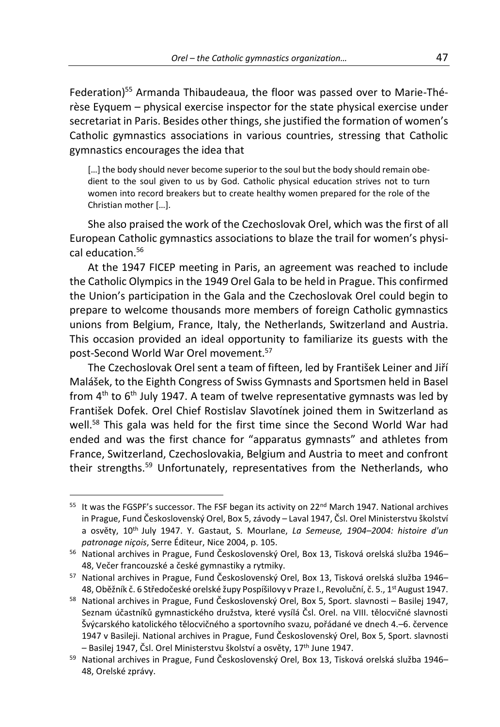Federation)<sup>55</sup> Armanda Thibaudeaua, the floor was passed over to Marie-Thérèse Eyquem – physical exercise inspector for the state physical exercise under secretariat in Paris. Besides other things, she justified the formation of women's Catholic gymnastics associations in various countries, stressing that Catholic gymnastics encourages the idea that

[...] the body should never become superior to the soul but the body should remain obedient to the soul given to us by God. Catholic physical education strives not to turn women into record breakers but to create healthy women prepared for the role of the Christian mother […].

She also praised the work of the Czechoslovak Orel, which was the first of all European Catholic gymnastics associations to blaze the trail for women's physical education.<sup>56</sup>

At the 1947 FICEP meeting in Paris, an agreement was reached to include the Catholic Olympics in the 1949 Orel Gala to be held in Prague. This confirmed the Union's participation in the Gala and the Czechoslovak Orel could begin to prepare to welcome thousands more members of foreign Catholic gymnastics unions from Belgium, France, Italy, the Netherlands, Switzerland and Austria. This occasion provided an ideal opportunity to familiarize its guests with the post-Second World War Orel movement.<sup>57</sup>

The Czechoslovak Orel sent a team of fifteen, led by František Leiner and Jiří Malášek, to the Eighth Congress of Swiss Gymnasts and Sportsmen held in Basel from  $4<sup>th</sup>$  to  $6<sup>th</sup>$  July 1947. A team of twelve representative gymnasts was led by František Dofek. Orel Chief Rostislav Slavotínek joined them in Switzerland as well.<sup>58</sup> This gala was held for the first time since the Second World War had ended and was the first chance for "apparatus gymnasts" and athletes from France, Switzerland, Czechoslovakia, Belgium and Austria to meet and confront their strengths.<sup>59</sup> Unfortunately, representatives from the Netherlands, who

 $55$  It was the FGSPF's successor. The FSF began its activity on 22<sup>nd</sup> March 1947. National archives in Prague, Fund Československý Orel, Box 5, závody – Laval 1947, Čsl. Orel Ministerstvu školství a osvěty, 10th July 1947. Y. Gastaut, S. Mourlane, *La Semeuse, 1904–2004: histoire d'un patronage niçois*, Serre Éditeur, Nice 2004, p. 105.

<sup>56</sup> National archives in Prague, Fund Československý Orel, Box 13, Tisková orelská služba 1946– 48, Večer francouzské a české gymnastiky a rytmiky.

<sup>57</sup> National archives in Prague, Fund Československý Orel, Box 13, Tisková orelská služba 1946– 48, Oběžník č. 6 Středočeské orelské župy Pospíšilovy v Praze I., Revoluční, č. 5., 1 $^{\rm st}$ August 1947.

<sup>58</sup> National archives in Prague, Fund Československý Orel, Box 5, Sport. slavnosti – Basilej 1947, Seznam účastníků gymnastického družstva, které vysílá Čsl. Orel. na VIII. tělocvičné slavnosti Švýcarského katolického tělocvičného a sportovního svazu, pořádané ve dnech 4.–6. července 1947 v Basileji. National archives in Prague, Fund Československý Orel, Box 5, Sport. slavnosti – Basilej 1947, Čsl. Orel Ministerstvu školství a osvěty, 17th June 1947.

<sup>59</sup> National archives in Prague, Fund Československý Orel, Box 13, Tisková orelská služba 1946– 48, Orelské zprávy.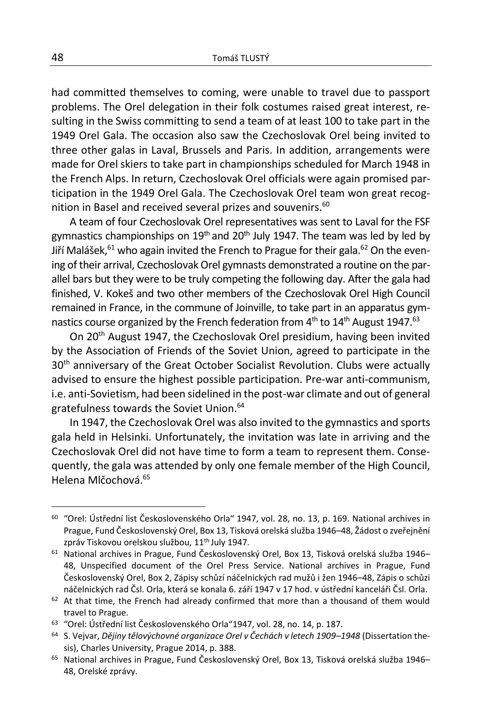had committed themselves to coming, were unable to travel due to passport problems. The Orel delegation in their folk costumes raised great interest, resulting in the Swiss committing to send a team of at least 100 to take part in the 1949 Orel Gala. The occasion also saw the Czechoslovak Orel being invited to three other galas in Laval, Brussels and Paris. In addition, arrangements were made for Orel skiers to take part in championships scheduled for March 1948 in the French Alps. In return, Czechoslovak Orel officials were again promised participation in the 1949 Orel Gala. The Czechoslovak Orel team won great recognition in Basel and received several prizes and souvenirs.<sup>60</sup>

A team of four Czechoslovak Orel representatives was sent to Laval for the FSF gymnastics championships on  $19<sup>th</sup>$  and  $20<sup>th</sup>$  July 1947. The team was led by led by Jiří Malášek,  $61$  who again invited the French to Prague for their gala.  $62$  On the evening of their arrival, Czechoslovak Orel gymnasts demonstrated a routine on the parallel bars but they were to be truly competing the following day. After the gala had finished, V. Kokeš and two other members of the Czechoslovak Orel High Council remained in France, in the commune of Joinville, to take part in an apparatus gymnastics course organized by the French federation from  $4<sup>th</sup>$  to  $14<sup>th</sup>$  August 1947.<sup>63</sup>

On 20<sup>th</sup> August 1947, the Czechoslovak Orel presidium, having been invited by the Association of Friends of the Soviet Union, agreed to participate in the 30<sup>th</sup> anniversary of the Great October Socialist Revolution. Clubs were actually advised to ensure the highest possible participation. Pre-war anti-communism, i.e. anti-Sovietism, had been sidelined in the post-war climate and out of general gratefulness towards the Soviet Union.<sup>64</sup>

In 1947, the Czechoslovak Orel was also invited to the gymnastics and sports gala held in Helsinki. Unfortunately, the invitation was late in arriving and the Czechoslovak Orel did not have time to form a team to represent them. Consequently, the gala was attended by only one female member of the High Council, Helena Mlčochová.<sup>65</sup>

<sup>60</sup> "Orel: Ústřední list Československého Orla" 1947, vol. 28, no. 13, p. 169. National archives in Prague, Fund Československý Orel, Box 13, Tisková orelská služba 1946–48, Žádost o zveřejnění zpráv Tiskovou orelskou službou, 11<sup>th July 1947.</sup>

<sup>&</sup>lt;sup>61</sup> National archives in Prague, Fund Československý Orel, Box 13, Tisková orelská služba 1946– 48, Unspecified document of the Orel Press Service. National archives in Prague, Fund Československý Orel, Box 2, Zápisy schůzí náčelnických rad mužů i žen 1946–48, Zápis o schůzi náčelnických rad Čsl. Orla, která se konala 6. září 1947 v 17 hod. v ústřední kanceláři Čsl. Orla.

 $62$  At that time, the French had already confirmed that more than a thousand of them would travel to Prague.

<sup>63</sup> "Orel: Ústřední list Československého Orla"1947, vol. 28, no. 14, p. 187.

<sup>64</sup> S. Vejvar, *Dějiny tělovýchovné organizace Orel v Čechách v letech 1909–1948* (Dissertation thesis), Charles University, Prague 2014, p. 388.

<sup>65</sup> National archives in Prague, Fund Československý Orel, Box 13, Tisková orelská služba 1946– 48, Orelské zprávy.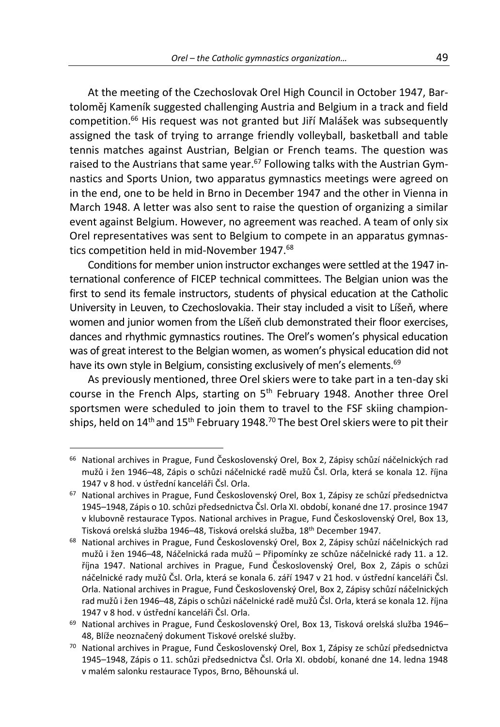At the meeting of the Czechoslovak Orel High Council in October 1947, Bartoloměj Kameník suggested challenging Austria and Belgium in a track and field competition.<sup>66</sup> His request was not granted but Jiří Malášek was subsequently assigned the task of trying to arrange friendly volleyball, basketball and table tennis matches against Austrian, Belgian or French teams. The question was raised to the Austrians that same year.<sup>67</sup> Following talks with the Austrian Gymnastics and Sports Union, two apparatus gymnastics meetings were agreed on in the end, one to be held in Brno in December 1947 and the other in Vienna in March 1948. A letter was also sent to raise the question of organizing a similar event against Belgium. However, no agreement was reached. A team of only six Orel representatives was sent to Belgium to compete in an apparatus gymnastics competition held in mid-November 1947.<sup>68</sup>

Conditions for member union instructor exchanges were settled at the 1947 international conference of FICEP technical committees. The Belgian union was the first to send its female instructors, students of physical education at the Catholic University in Leuven, to Czechoslovakia. Their stay included a visit to Líšeň, where women and junior women from the Líšeň club demonstrated their floor exercises, dances and rhythmic gymnastics routines. The Orel's women's physical education was of great interest to the Belgian women, as women's physical education did not have its own style in Belgium, consisting exclusively of men's elements.<sup>69</sup>

As previously mentioned, three Orel skiers were to take part in a ten-day ski course in the French Alps, starting on  $5<sup>th</sup>$  February 1948. Another three Orel sportsmen were scheduled to join them to travel to the FSF skiing championships, held on 14<sup>th</sup> and 15<sup>th</sup> February 1948.<sup>70</sup> The best Orel skiers were to pit their

<sup>&</sup>lt;sup>66</sup> National archives in Prague, Fund Československý Orel, Box 2, Zápisy schůzí náčelnických rad mužů i žen 1946–48, Zápis o schůzi náčelnické radě mužů Čsl. Orla, která se konala 12. října 1947 v 8 hod. v ústřední kanceláři Čsl. Orla.

<sup>67</sup> National archives in Prague, Fund Československý Orel, Box 1, Zápisy ze schůzí předsednictva 1945–1948, Zápis o 10. schůzi předsednictva Čsl. Orla XI. období, konané dne 17. prosince 1947 v klubovně restaurace Typos. National archives in Prague, Fund Československý Orel, Box 13, Tisková orelská služba 1946–48, Tisková orelská služba, 18th December 1947.

<sup>&</sup>lt;sup>68</sup> National archives in Prague, Fund Československý Orel, Box 2, Zápisy schůzí náčelnických rad mužů i žen 1946–48, Náčelnická rada mužů – Připomínky ze schůze náčelnické rady 11. a 12. října 1947. National archives in Prague, Fund Československý Orel, Box 2, Zápis o schůzi náčelnické rady mužů Čsl. Orla, která se konala 6. září 1947 v 21 hod. v ústřední kanceláři Čsl. Orla. National archives in Prague, Fund Československý Orel, Box 2, Zápisy schůzí náčelnických rad mužů i žen 1946–48, Zápis o schůzi náčelnické radě mužů Čsl. Orla, která se konala 12. října 1947 v 8 hod. v ústřední kanceláři Čsl. Orla.

<sup>69</sup> National archives in Prague, Fund Československý Orel, Box 13, Tisková orelská služba 1946– 48, Blíže neoznačený dokument Tiskové orelské služby.

<sup>70</sup> National archives in Prague, Fund Československý Orel, Box 1, Zápisy ze schůzí předsednictva 1945–1948, Zápis o 11. schůzi předsednictva Čsl. Orla XI. období, konané dne 14. ledna 1948 v malém salonku restaurace Typos, Brno, Běhounská ul.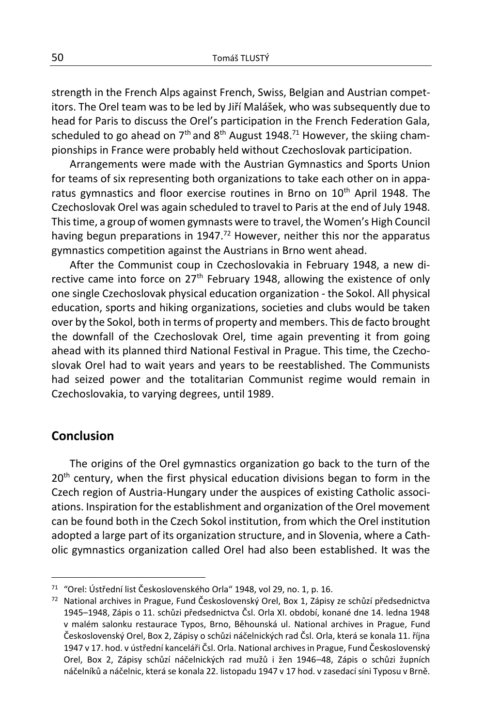strength in the French Alps against French, Swiss, Belgian and Austrian competitors. The Orel team was to be led by Jiří Malášek, who was subsequently due to head for Paris to discuss the Orel's participation in the French Federation Gala, scheduled to go ahead on  $7<sup>th</sup>$  and  $8<sup>th</sup>$  August 1948.<sup>71</sup> However, the skiing championships in France were probably held without Czechoslovak participation.

Arrangements were made with the Austrian Gymnastics and Sports Union for teams of six representing both organizations to take each other on in apparatus gymnastics and floor exercise routines in Brno on 10<sup>th</sup> April 1948. The Czechoslovak Orel was again scheduled to travel to Paris at the end of July 1948. This time, a group of women gymnasts were to travel, the Women's High Council having begun preparations in 1947.<sup>72</sup> However, neither this nor the apparatus gymnastics competition against the Austrians in Brno went ahead.

After the Communist coup in Czechoslovakia in February 1948, a new directive came into force on 27<sup>th</sup> February 1948, allowing the existence of only one single Czechoslovak physical education organization - the Sokol. All physical education, sports and hiking organizations, societies and clubs would be taken over by the Sokol, both in terms of property and members. This de facto brought the downfall of the Czechoslovak Orel, time again preventing it from going ahead with its planned third National Festival in Prague. This time, the Czechoslovak Orel had to wait years and years to be reestablished. The Communists had seized power and the totalitarian Communist regime would remain in Czechoslovakia, to varying degrees, until 1989.

### **Conclusion**

The origins of the Orel gymnastics organization go back to the turn of the 20<sup>th</sup> century, when the first physical education divisions began to form in the Czech region of Austria-Hungary under the auspices of existing Catholic associations. Inspiration for the establishment and organization of the Orel movement can be found both in the Czech Sokol institution, from which the Orel institution adopted a large part of its organization structure, and in Slovenia, where a Catholic gymnastics organization called Orel had also been established. It was the

<sup>71</sup> "Orel: Ústřední list Československého Orla" 1948, vol 29, no. 1, p. 16.

<sup>72</sup> National archives in Prague, Fund Československý Orel, Box 1, Zápisy ze schůzí předsednictva 1945–1948, Zápis o 11. schůzi předsednictva Čsl. Orla XI. období, konané dne 14. ledna 1948 v malém salonku restaurace Typos, Brno, Běhounská ul. National archives in Prague, Fund Československý Orel, Box 2, Zápisy o schůzi náčelnických rad Čsl. Orla, která se konala 11. října 1947 v 17. hod. v ústřední kanceláři Čsl. Orla. National archives in Prague, Fund Československý Orel, Box 2, Zápisy schůzí náčelnických rad mužů i žen 1946–48, Zápis o schůzi župních náčelníků a náčelnic, která se konala 22. listopadu 1947 v 17 hod. v zasedací síni Typosu v Brně.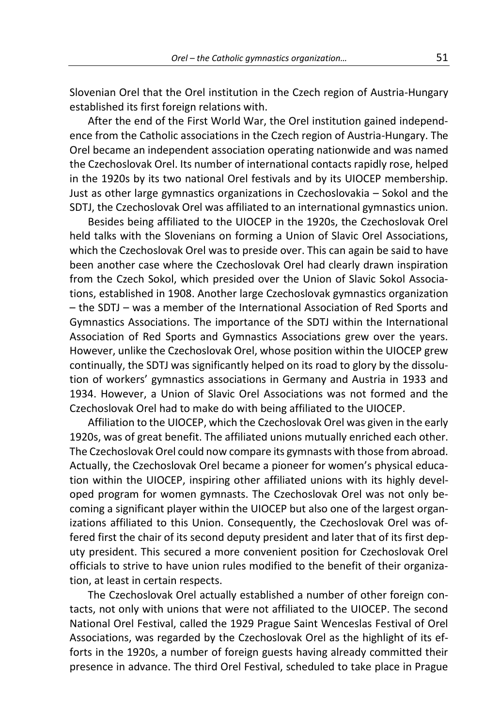Slovenian Orel that the Orel institution in the Czech region of Austria-Hungary established its first foreign relations with.

After the end of the First World War, the Orel institution gained independence from the Catholic associations in the Czech region of Austria-Hungary. The Orel became an independent association operating nationwide and was named the Czechoslovak Orel. Its number of international contacts rapidly rose, helped in the 1920s by its two national Orel festivals and by its UIOCEP membership. Just as other large gymnastics organizations in Czechoslovakia – Sokol and the SDTJ, the Czechoslovak Orel was affiliated to an international gymnastics union.

Besides being affiliated to the UIOCEP in the 1920s, the Czechoslovak Orel held talks with the Slovenians on forming a Union of Slavic Orel Associations, which the Czechoslovak Orel was to preside over. This can again be said to have been another case where the Czechoslovak Orel had clearly drawn inspiration from the Czech Sokol, which presided over the Union of Slavic Sokol Associations, established in 1908. Another large Czechoslovak gymnastics organization – the SDTJ – was a member of the International Association of Red Sports and Gymnastics Associations. The importance of the SDTJ within the International Association of Red Sports and Gymnastics Associations grew over the years. However, unlike the Czechoslovak Orel, whose position within the UIOCEP grew continually, the SDTJ was significantly helped on its road to glory by the dissolution of workers' gymnastics associations in Germany and Austria in 1933 and 1934. However, a Union of Slavic Orel Associations was not formed and the Czechoslovak Orel had to make do with being affiliated to the UIOCEP.

Affiliation to the UIOCEP, which the Czechoslovak Orel was given in the early 1920s, was of great benefit. The affiliated unions mutually enriched each other. The Czechoslovak Orel could now compare its gymnasts with those from abroad. Actually, the Czechoslovak Orel became a pioneer for women's physical education within the UIOCEP, inspiring other affiliated unions with its highly developed program for women gymnasts. The Czechoslovak Orel was not only becoming a significant player within the UIOCEP but also one of the largest organizations affiliated to this Union. Consequently, the Czechoslovak Orel was offered first the chair of its second deputy president and later that of its first deputy president. This secured a more convenient position for Czechoslovak Orel officials to strive to have union rules modified to the benefit of their organization, at least in certain respects.

The Czechoslovak Orel actually established a number of other foreign contacts, not only with unions that were not affiliated to the UIOCEP. The second National Orel Festival, called the 1929 Prague Saint Wenceslas Festival of Orel Associations, was regarded by the Czechoslovak Orel as the highlight of its efforts in the 1920s, a number of foreign guests having already committed their presence in advance. The third Orel Festival, scheduled to take place in Prague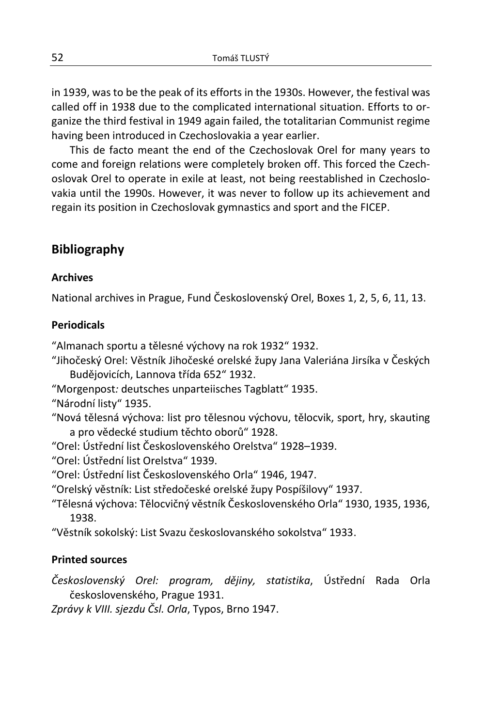in 1939, was to be the peak of its efforts in the 1930s. However, the festival was called off in 1938 due to the complicated international situation. Efforts to organize the third festival in 1949 again failed, the totalitarian Communist regime having been introduced in Czechoslovakia a year earlier.

This de facto meant the end of the Czechoslovak Orel for many years to come and foreign relations were completely broken off. This forced the Czechoslovak Orel to operate in exile at least, not being reestablished in Czechoslovakia until the 1990s. However, it was never to follow up its achievement and regain its position in Czechoslovak gymnastics and sport and the FICEP.

# **Bibliography**

### **Archives**

National archives in Prague, Fund Československý Orel, Boxes 1, 2, 5, 6, 11, 13.

# **Periodicals**

"Almanach sportu a tělesné výchovy na rok 1932" 1932.

"Jihočeský Orel: Věstník Jihočeské orelské župy Jana Valeriána Jirsíka v Českých Budějovicích, Lannova třída 652" 1932.

"Morgenpost*:* deutsches unparteiisches Tagblatt" 1935.

"Národní listy" 1935.

"Nová tělesná výchova: list pro tělesnou výchovu, tělocvik, sport, hry, skauting a pro vědecké studium těchto oborů" 1928.

"Orel: Ústřední list Československého Orelstva" 1928–1939.

"Orel: Ústřední list Orelstva" 1939.

"Orel: Ústřední list Československého Orla" 1946, 1947.

"Orelský věstník: List středočeské orelské župy Pospíšilovy" 1937.

"Tělesná výchova: Tělocvičný věstník Československého Orla" 1930, 1935, 1936, 1938.

"Věstník sokolský: List Svazu českoslovanského sokolstva" 1933.

# **Printed sources**

*Československý Orel: program, dějiny, statistika*, Ústřední Rada Orla československého, Prague 1931.

*Zprávy k VIII. sjezdu Čsl. Orla*, Typos, Brno 1947.